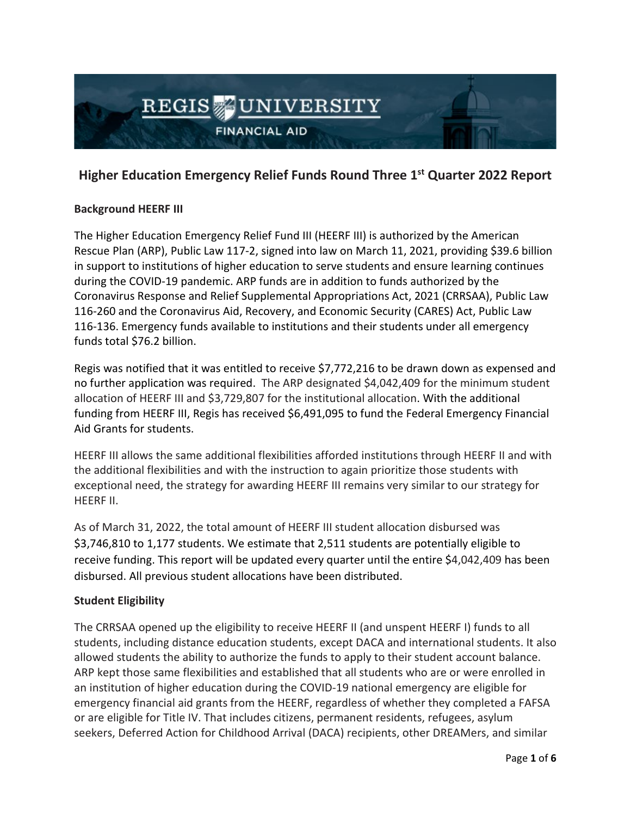

# **Higher Education Emergency Relief Funds Round Three 1st Quarter 2022 Report**

# **Background HEERF III**

The Higher Education Emergency Relief Fund III (HEERF III) is authorized by the American Rescue Plan (ARP), Public Law 117-2, signed into law on March 11, 2021, providing \$39.6 billion in support to institutions of higher education to serve students and ensure learning continues during the COVID-19 pandemic. ARP funds are in addition to funds authorized by the Coronavirus Response and Relief Supplemental Appropriations Act, 2021 (CRRSAA), Public Law 116-260 and the Coronavirus Aid, Recovery, and Economic Security (CARES) Act, Public Law 116-136. Emergency funds available to institutions and their students under all emergency funds total \$76.2 billion.

Regis was notified that it was entitled to receive \$7,772,216 to be drawn down as expensed and no further application was required. The ARP designated \$4,042,409 for the minimum student allocation of HEERF III and \$3,729,807 for the institutional allocation. With the additional funding from HEERF III, Regis has received \$6,491,095 to fund the Federal Emergency Financial Aid Grants for students.

HEERF III allows the same additional flexibilities afforded institutions through HEERF II and with the additional flexibilities and with the instruction to again prioritize those students with exceptional need, the strategy for awarding HEERF III remains very similar to our strategy for HEERF II.

As of March 31, 2022, the total amount of HEERF III student allocation disbursed was \$3,746,810 to 1,177 students. We estimate that 2,511 students are potentially eligible to receive funding. This report will be updated every quarter until the entire \$4,042,409 has been disbursed. All previous student allocations have been distributed.

# **Student Eligibility**

The CRRSAA opened up the eligibility to receive HEERF II (and unspent HEERF I) funds to all students, including distance education students, except DACA and international students. It also allowed students the ability to authorize the funds to apply to their student account balance. ARP kept those same flexibilities and established that all students who are or were enrolled in an institution of higher education during the COVID-19 national emergency are eligible for emergency financial aid grants from the HEERF, regardless of whether they completed a FAFSA or are eligible for Title IV. That includes citizens, permanent residents, refugees, asylum seekers, Deferred Action for Childhood Arrival (DACA) recipients, other DREAMers, and similar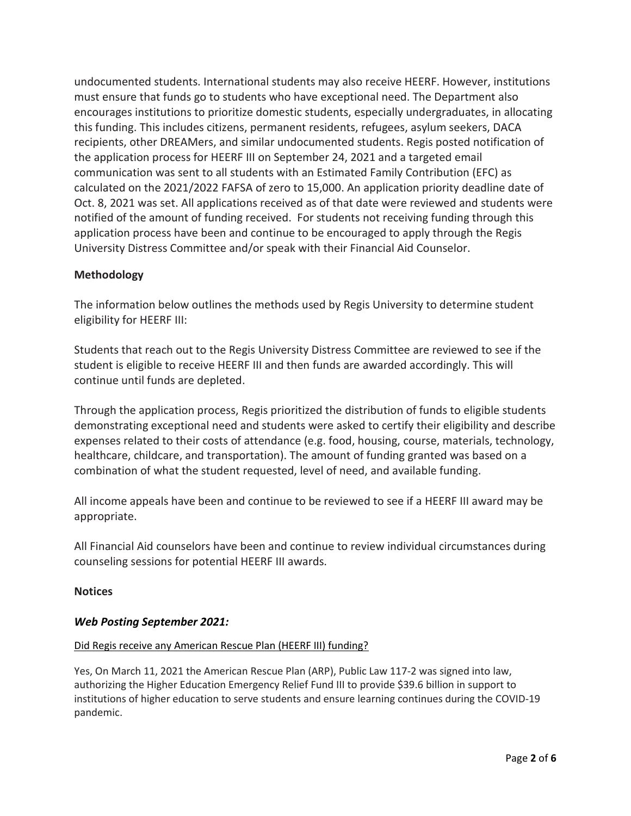undocumented students. International students may also receive HEERF. However, institutions must ensure that funds go to students who have exceptional need. The Department also encourages institutions to prioritize domestic students, especially undergraduates, in allocating this funding. This includes citizens, permanent residents, refugees, asylum seekers, DACA recipients, other DREAMers, and similar undocumented students. Regis posted notification of the application process for HEERF III on September 24, 2021 and a targeted email communication was sent to all students with an Estimated Family Contribution (EFC) as calculated on the 2021/2022 FAFSA of zero to 15,000. An application priority deadline date of Oct. 8, 2021 was set. All applications received as of that date were reviewed and students were notified of the amount of funding received. For students not receiving funding through this application process have been and continue to be encouraged to apply through the Regis University Distress Committee and/or speak with their Financial Aid Counselor.

# **Methodology**

The information below outlines the methods used by Regis University to determine student eligibility for HEERF III:

Students that reach out to the Regis University Distress Committee are reviewed to see if the student is eligible to receive HEERF III and then funds are awarded accordingly. This will continue until funds are depleted.

Through the application process, Regis prioritized the distribution of funds to eligible students demonstrating exceptional need and students were asked to certify their eligibility and describe expenses related to their costs of attendance (e.g. food, housing, course, materials, technology, healthcare, childcare, and transportation). The amount of funding granted was based on a combination of what the student requested, level of need, and available funding.

All income appeals have been and continue to be reviewed to see if a HEERF III award may be appropriate.

All Financial Aid counselors have been and continue to review individual circumstances during counseling sessions for potential HEERF III awards.

# **Notices**

# *Web Posting September 2021:*

## [Did Regis receive any American Rescue Plan \(HEERF III\) funding?](https://www.regisupdates.com/regis-quick-updates/regis-receives-higher-education-emergency-relief-funding-for-students)

Yes, On March 11, 2021 the American Rescue Plan (ARP), Public Law 117-2 was signed into law, authorizing the Higher Education Emergency Relief Fund III to provide \$39.6 billion in support to institutions of higher education to serve students and ensure learning continues during the COVID-19 pandemic.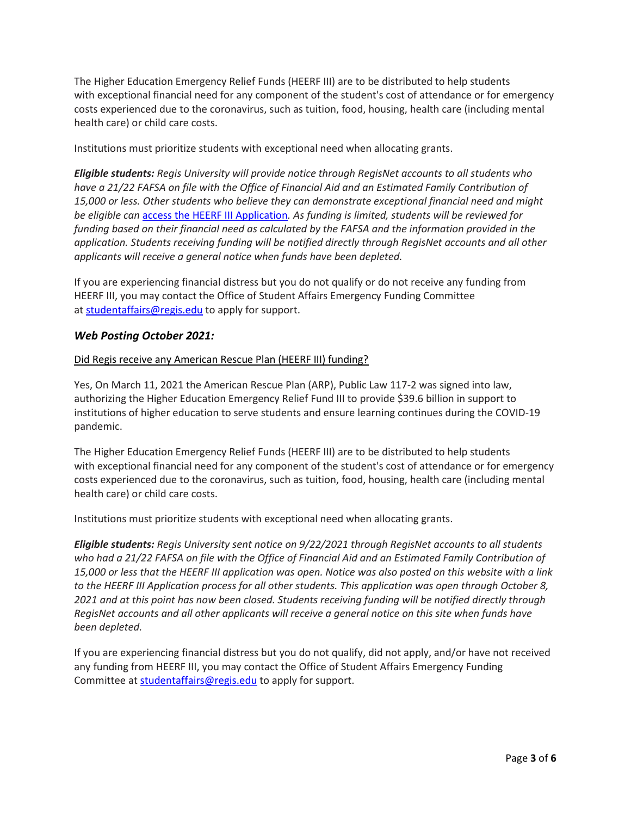The Higher Education Emergency Relief Funds (HEERF III) are to be distributed to help students with exceptional financial need for any component of the student's cost of attendance or for emergency costs experienced due to the coronavirus, such as tuition, food, housing, health care (including mental health care) or child care costs.

Institutions must prioritize students with exceptional need when allocating grants.

*Eligible students: Regis University will provide notice through RegisNet accounts to all students who have a 21/22 FAFSA on file with the Office of Financial Aid and an Estimated Family Contribution of 15,000 or less. Other students who believe they can demonstrate exceptional financial need and might be eligible can* [access the HEERF III Application](https://www.emailmeform.com/builder/form/M4ZbQ314lv8bIdr7)*. As funding is limited, students will be reviewed for funding based on their financial need as calculated by the FAFSA and the information provided in the application. Students receiving funding will be notified directly through RegisNet accounts and all other applicants will receive a general notice when funds have been depleted.*

If you are experiencing financial distress but you do not qualify or do not receive any funding from HEERF III, you may contact the Office of Student Affairs Emergency Funding Committee at [studentaffairs@regis.edu](mailto:studentaffairs@regis.edu) to apply for support.

## *Web Posting October 2021:*

#### [Did Regis receive any American Rescue Plan \(HEERF III\) funding?](https://www.regisupdates.com/regis-quick-updates/regis-receives-higher-education-emergency-relief-funding-for-students)

Yes, On March 11, 2021 the American Rescue Plan (ARP), Public Law 117-2 was signed into law, authorizing the Higher Education Emergency Relief Fund III to provide \$39.6 billion in support to institutions of higher education to serve students and ensure learning continues during the COVID-19 pandemic.

The Higher Education Emergency Relief Funds (HEERF III) are to be distributed to help students with exceptional financial need for any component of the student's cost of attendance or for emergency costs experienced due to the coronavirus, such as tuition, food, housing, health care (including mental health care) or child care costs.

Institutions must prioritize students with exceptional need when allocating grants.

*Eligible students: Regis University sent notice on 9/22/2021 through RegisNet accounts to all students who had a 21/22 FAFSA on file with the Office of Financial Aid and an Estimated Family Contribution of 15,000 or less that the HEERF III application was open. Notice was also posted on this website with a link to the HEERF III Application process for all other students. This application was open through October 8, 2021 and at this point has now been closed. Students receiving funding will be notified directly through RegisNet accounts and all other applicants will receive a general notice on this site when funds have been depleted.*

If you are experiencing financial distress but you do not qualify, did not apply, and/or have not received any funding from HEERF III, you may contact the Office of Student Affairs Emergency Funding Committee at [studentaffairs@regis.edu](mailto:studentaffairs@regis.edu) to apply for support.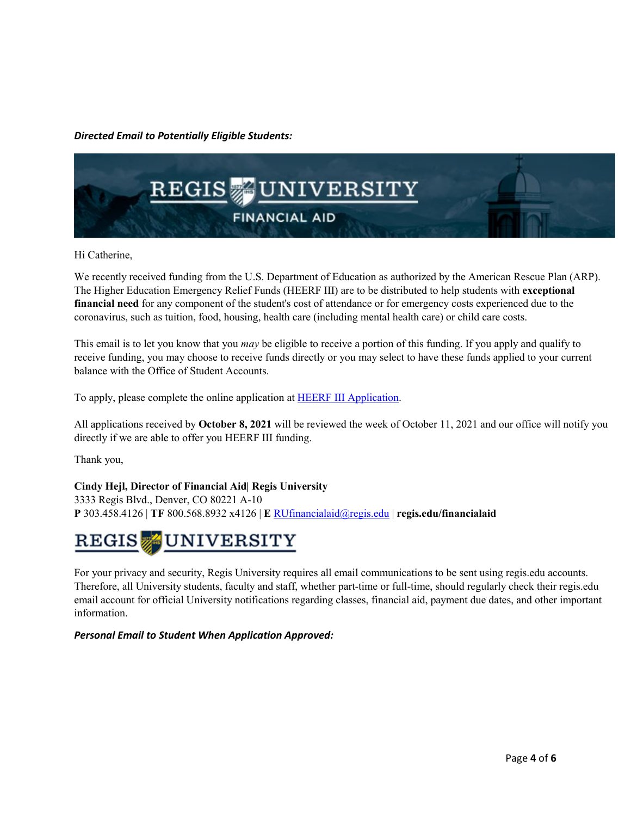## *Directed Email to Potentially Eligible Students:*



Hi Catherine,

We recently received funding from the U.S. Department of Education as authorized by the American Rescue Plan (ARP). The Higher Education Emergency Relief Funds (HEERF III) are to be distributed to help students with **exceptional financial need** for any component of the student's cost of attendance or for emergency costs experienced due to the coronavirus, such as tuition, food, housing, health care (including mental health care) or child care costs.

This email is to let you know that you *may* be eligible to receive a portion of this funding. If you apply and qualify to receive funding, you may choose to receive funds directly or you may select to have these funds applied to your current balance with the Office of Student Accounts.

To apply, please complete the online application a[t HEERF III Application.](https://www.emailmeform.com/builder/form/M4ZbQ314lv8bIdr7)

All applications received by **October 8, 2021** will be reviewed the week of October 11, 2021 and our office will notify you directly if we are able to offer you HEERF III funding.

Thank you,

## **Cindy Hejl, Director of Financial Aid| Regis University**

3333 Regis Blvd., Denver, CO 80221 A-10 **P** 303.458.4126 | **TF** 800.568.8932 x4126 | **E** [RUfinancialaid@regis.edu](mailto:RUfinancialaid@regis.edu) | **regis.edu/financialaid**

#### **JUNIVERSITY**  ${\tt REGIS}$  ,

For your privacy and security, Regis University requires all email communications to be sent using regis.edu accounts. Therefore, all University students, faculty and staff, whether part-time or full-time, should regularly check their regis.edu email account for official University notifications regarding classes, financial aid, payment due dates, and other important information.

*Personal Email to Student When Application Approved:*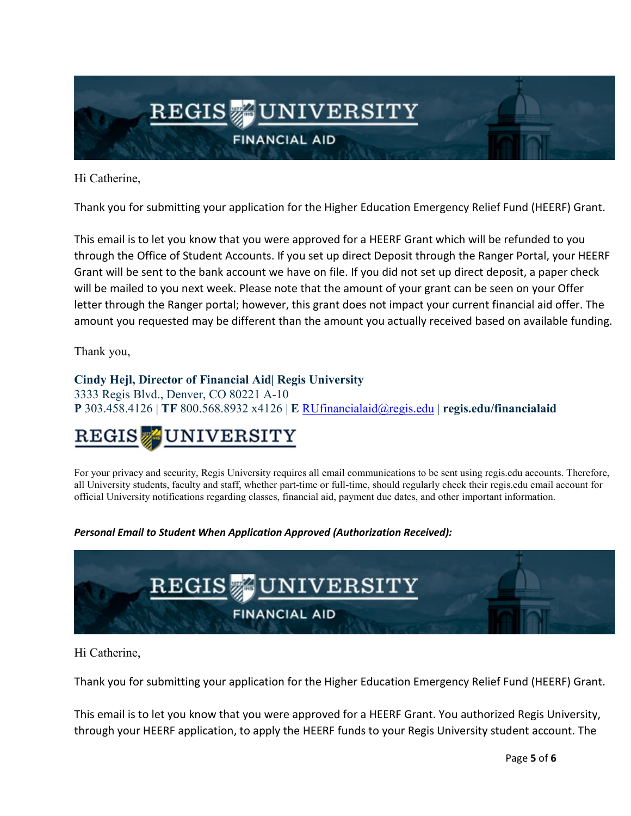

Hi Catherine,

Thank you for submitting your application for the Higher Education Emergency Relief Fund (HEERF) Grant.

This email is to let you know that you were approved for a HEERF Grant which will be refunded to you through the Office of Student Accounts. If you set up direct Deposit through the Ranger Portal, your HEERF Grant will be sent to the bank account we have on file. If you did not set up direct deposit, a paper check will be mailed to you next week. Please note that the amount of your grant can be seen on your Offer letter through the Ranger portal; however, this grant does not impact your current financial aid offer. The amount you requested may be different than the amount you actually received based on available funding.

Thank you,

# **Cindy Hejl, Director of Financial Aid| Regis University**

3333 Regis Blvd., Denver, CO 80221 A-10 **P** 303.458.4126 | **TF** 800.568.8932 x4126 | **E** [RUfinancialaid@regis.edu](mailto:RUfinancialaid@regis.edu) | **regis.edu/financialaid**

## UNIVERSITY  $\operatorname{REGIS}$  ,

For your privacy and security, Regis University requires all email communications to be sent using regis.edu accounts. Therefore, all University students, faculty and staff, whether part-time or full-time, should regularly check their regis.edu email account for official University notifications regarding classes, financial aid, payment due dates, and other important information.

*Personal Email to Student When Application Approved (Authorization Received):* 



Hi Catherine,

Thank you for submitting your application for the Higher Education Emergency Relief Fund (HEERF) Grant.

This email is to let you know that you were approved for a HEERF Grant. You authorized Regis University, through your HEERF application, to apply the HEERF funds to your Regis University student account. The